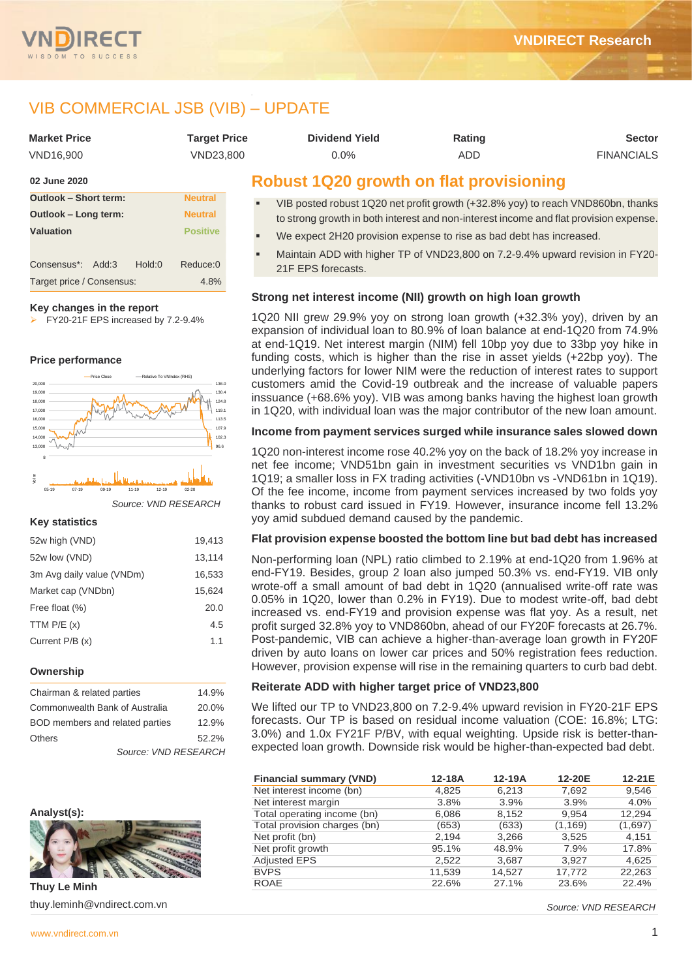

# VIB COMMERCIAL JSB (VIB) – UPDATE

| <b>Market Price</b>          | <b>Target Price</b> | <b>Dividend Yield</b>                                                                          | Rating | <b>Sector</b>     |
|------------------------------|---------------------|------------------------------------------------------------------------------------------------|--------|-------------------|
| VND16.900                    | VND23.800           | 0.0%                                                                                           | ADD    | <b>FINANCIALS</b> |
| 02 June 2020                 |                     | <b>Robust 1Q20 growth on flat provisioning</b>                                                 |        |                   |
| <b>Outlook - Short term:</b> | <b>Neutral</b>      | $UID$ reated repuet $1020$ not profit grouth $(122.00/101)$ to reach $UNDQCD$ the then $R_{2}$ |        |                   |

- VIB posted robust 1Q20 net profit growth (+32.8% yoy) to reach VND860bn, thanks to strong growth in both interest and non-interest income and flat provision expense.
- We expect 2H20 provision expense to rise as bad debt has increased.
- Maintain ADD with higher TP of VND23,800 on 7.2-9.4% upward revision in FY20-21F EPS forecasts.

## **Strong net interest income (NII) growth on high loan growth**

1Q20 NII grew 29.9% yoy on strong loan growth (+32.3% yoy), driven by an expansion of individual loan to 80.9% of loan balance at end-1Q20 from 74.9% at end-1Q19. Net interest margin (NIM) fell 10bp yoy due to 33bp yoy hike in funding costs, which is higher than the rise in asset yields (+22bp yoy). The underlying factors for lower NIM were the reduction of interest rates to support customers amid the Covid-19 outbreak and the increase of valuable papers inssuance (+68.6% yoy). VIB was among banks having the highest loan growth in 1Q20, with individual loan was the major contributor of the new loan amount.

## **Income from payment services surged while insurance sales slowed down**

1Q20 non-interest income rose 40.2% yoy on the back of 18.2% yoy increase in net fee income; VND51bn gain in investment securities vs VND1bn gain in 1Q19; a smaller loss in FX trading activities (-VND10bn vs -VND61bn in 1Q19). Of the fee income, income from payment services increased by two folds yoy thanks to robust card issued in FY19. However, insurance income fell 13.2% yoy amid subdued demand caused by the pandemic.

#### **Flat provision expense boosted the bottom line but bad debt has increased**

Non-performing loan (NPL) ratio climbed to 2.19% at end-1Q20 from 1.96% at end-FY19. Besides, group 2 loan also jumped 50.3% vs. end-FY19. VIB only wrote-off a small amount of bad debt in 1Q20 (annualised write-off rate was 0.05% in 1Q20, lower than 0.2% in FY19). Due to modest write-off, bad debt increased vs. end-FY19 and provision expense was flat yoy. As a result, net profit surged 32.8% yoy to VND860bn, ahead of our FY20F forecasts at 26.7%. Post-pandemic, VIB can achieve a higher-than-average loan growth in FY20F driven by auto loans on lower car prices and 50% registration fees reduction. However, provision expense will rise in the remaining quarters to curb bad debt.

## **Reiterate ADD with higher target price of VND23,800**

We lifted our TP to VND23,800 on 7.2-9.4% upward revision in FY20-21F EPS forecasts. Our TP is based on residual income valuation (COE: 16.8%; LTG: 3.0%) and 1.0x FY21F P/BV, with equal weighting. Upside risk is better-thanexpected loan growth. Downside risk would be higher-than-expected bad debt.

| <b>Financial summary (VND)</b> | 12-18A | 12-19A | 12-20E   | 12-21E  |
|--------------------------------|--------|--------|----------|---------|
| Net interest income (bn)       | 4,825  | 6,213  | 7,692    | 9,546   |
| Net interest margin            | 3.8%   | 3.9%   | 3.9%     | 4.0%    |
| Total operating income (bn)    | 6,086  | 8,152  | 9,954    | 12,294  |
| Total provision charges (bn)   | (653)  | (633)  | (1, 169) | (1,697) |
| Net profit (bn)                | 2,194  | 3,266  | 3,525    | 4,151   |
| Net profit growth              | 95.1%  | 48.9%  | 7.9%     | 17.8%   |
| <b>Adjusted EPS</b>            | 2.522  | 3.687  | 3.927    | 4,625   |
| <b>BVPS</b>                    | 11,539 | 14.527 | 17,772   | 22,263  |
| <b>ROAE</b>                    | 22.6%  | 27.1%  | 23.6%    | 22.4%   |

*Source: VND RESEARCH*

| <b>Outlook - Short term:</b><br><b>Neutral</b> |                 |        |          |  |  |  |  |  |
|------------------------------------------------|-----------------|--------|----------|--|--|--|--|--|
| Outlook – Long term:                           | <b>Neutral</b>  |        |          |  |  |  |  |  |
| <b>Valuation</b>                               | <b>Positive</b> |        |          |  |  |  |  |  |
|                                                |                 |        |          |  |  |  |  |  |
| Consensus*: Add:3                              |                 | Hold:0 | Reduce:0 |  |  |  |  |  |
| Target price / Consensus:                      | 4.8%            |        |          |  |  |  |  |  |

#### **Key changes in the report**

➢ FY20-21F EPS increased by 7.2-9.4%

## **Price performance**



*Source: VND RESEARCH*

## **Key statistics**

| 52w high (VND)            | 19,413 |
|---------------------------|--------|
| 52w low (VND)             | 13,114 |
| 3m Avg daily value (VNDm) | 16,533 |
| Market cap (VNDbn)        | 15,624 |
| Free float (%)            | 20.0   |
| TTM $P/E(x)$              | 4.5    |
| Current $P/B(x)$          | 1.1    |
|                           |        |

#### **Ownership**

| Chairman & related parties      | 14.9% |
|---------------------------------|-------|
| Commonwealth Bank of Australia  | 20.0% |
| BOD members and related parties | 12.9% |
| Others                          | 52.2% |
| Source: VND RESEARCH            |       |





**Thuy Le Minh** thuy.leminh@vndirect.com.vn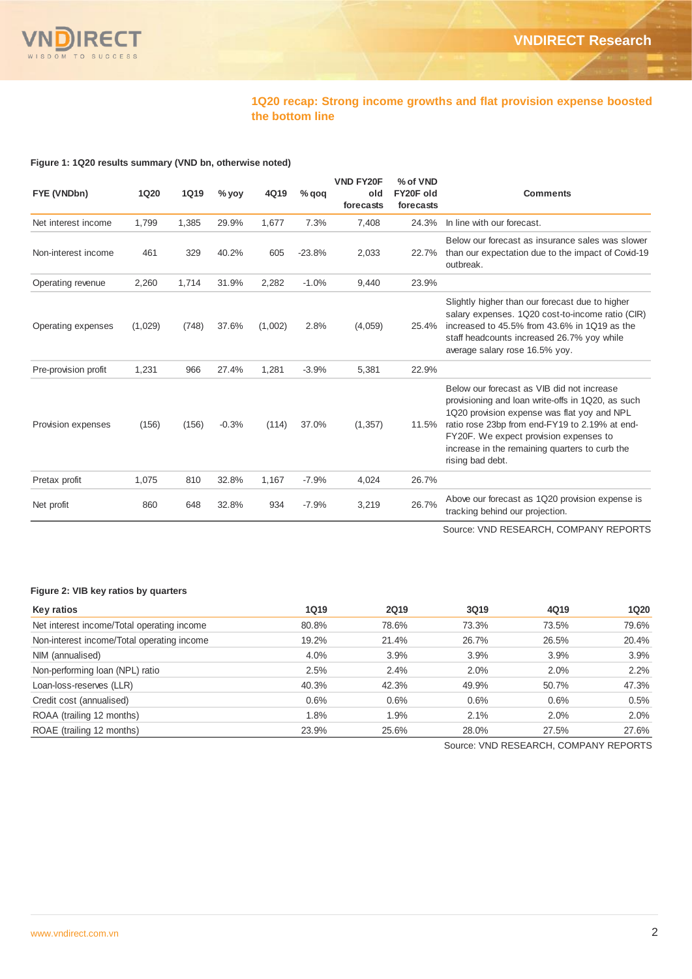

## **1Q20 recap: Strong income growths and flat provision expense boosted the bottom line**

**Figure 1: 1Q20 results summary (VND bn, otherwise noted)**

| FYE (VNDbn)          | <b>1Q20</b> | <b>1Q19</b> | $%$ yoy | 4Q19    | $%$ qoq  | <b>VND FY20F</b><br>old<br>forecasts | % of VND<br>FY20F old<br>forecasts | <b>Comments</b>                                                                                                                                                                                                                                                                                                  |
|----------------------|-------------|-------------|---------|---------|----------|--------------------------------------|------------------------------------|------------------------------------------------------------------------------------------------------------------------------------------------------------------------------------------------------------------------------------------------------------------------------------------------------------------|
| Net interest income  | 1,799       | 1,385       | 29.9%   | 1,677   | 7.3%     | 7,408                                | 24.3%                              | In line with our forecast.                                                                                                                                                                                                                                                                                       |
| Non-interest income  | 461         | 329         | 40.2%   | 605     | $-23.8%$ | 2,033                                | 22.7%                              | Below our forecast as insurance sales was slower<br>than our expectation due to the impact of Covid-19<br>outbreak.                                                                                                                                                                                              |
| Operating revenue    | 2,260       | 1,714       | 31.9%   | 2,282   | $-1.0%$  | 9,440                                | 23.9%                              |                                                                                                                                                                                                                                                                                                                  |
| Operating expenses   | (1,029)     | (748)       | 37.6%   | (1,002) | 2.8%     | (4,059)                              | 25.4%                              | Slightly higher than our forecast due to higher<br>salary expenses. 1Q20 cost-to-income ratio (CIR)<br>increased to 45.5% from 43.6% in 1Q19 as the<br>staff headcounts increased 26.7% yoy while<br>average salary rose 16.5% yoy.                                                                              |
| Pre-provision profit | 1,231       | 966         | 27.4%   | 1,281   | $-3.9%$  | 5,381                                | 22.9%                              |                                                                                                                                                                                                                                                                                                                  |
| Provision expenses   | (156)       | (156)       | $-0.3%$ | (114)   | 37.0%    | (1, 357)                             | 11.5%                              | Below our forecast as VIB did not increase<br>provisioning and loan write-offs in 1Q20, as such<br>1Q20 provision expense was flat yoy and NPL<br>ratio rose 23bp from end-FY19 to 2.19% at end-<br>FY20F. We expect provision expenses to<br>increase in the remaining quarters to curb the<br>rising bad debt. |
| Pretax profit        | 1,075       | 810         | 32.8%   | 1,167   | $-7.9%$  | 4,024                                | 26.7%                              |                                                                                                                                                                                                                                                                                                                  |
| Net profit           | 860         | 648         | 32.8%   | 934     | $-7.9%$  | 3,219                                | 26.7%                              | Above our forecast as 1Q20 provision expense is<br>tracking behind our projection.                                                                                                                                                                                                                               |

Source: VND RESEARCH, COMPANY REPORTS

#### **Figure 2: VIB key ratios by quarters**

| Key ratios                                 | <b>1Q19</b> | <b>2Q19</b> | 3Q19  | 4Q19  | 1Q20  |
|--------------------------------------------|-------------|-------------|-------|-------|-------|
| Net interest income/Total operating income | 80.8%       | 78.6%       | 73.3% | 73.5% | 79.6% |
| Non-interest income/Total operating income | 19.2%       | 21.4%       | 26.7% | 26.5% | 20.4% |
| NIM (annualised)                           | 4.0%        | 3.9%        | 3.9%  | 3.9%  | 3.9%  |
| Non-performing loan (NPL) ratio            | 2.5%        | 2.4%        | 2.0%  | 2.0%  | 2.2%  |
| Loan-loss-reserves (LLR)                   | 40.3%       | 42.3%       | 49.9% | 50.7% | 47.3% |
| Credit cost (annualised)                   | 0.6%        | 0.6%        | 0.6%  | 0.6%  | 0.5%  |
| ROAA (trailing 12 months)                  | 1.8%        | 1.9%        | 2.1%  | 2.0%  | 2.0%  |
| ROAE (trailing 12 months)                  | 23.9%       | 25.6%       | 28.0% | 27.5% | 27.6% |

Source: VND RESEARCH, COMPANY REPORTS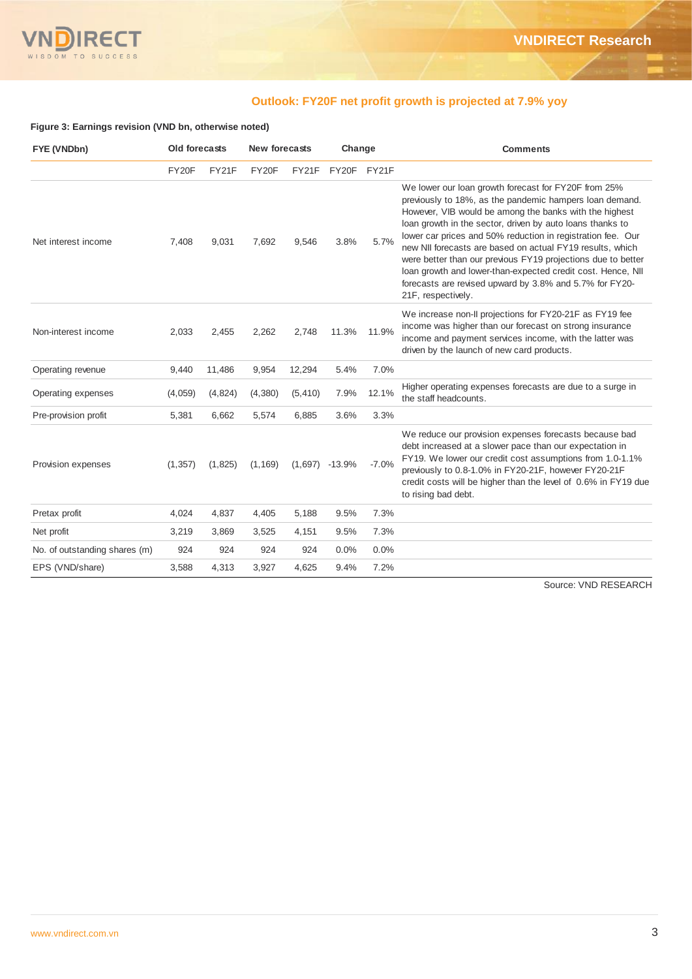

## **Outlook: FY20F net profit growth is projected at 7.9% yoy**

## **Figure 3: Earnings revision (VND bn, otherwise noted)**

| FYE (VNDbn)                   | Old forecasts |         | <b>New forecasts</b> |          | Change           |         | <b>Comments</b>                                                                                                                                                                                                                                                                                                                                                                                                                                                                                                                                                                    |
|-------------------------------|---------------|---------|----------------------|----------|------------------|---------|------------------------------------------------------------------------------------------------------------------------------------------------------------------------------------------------------------------------------------------------------------------------------------------------------------------------------------------------------------------------------------------------------------------------------------------------------------------------------------------------------------------------------------------------------------------------------------|
|                               | FY20F         | FY21F   | FY20F                | FY21F    | FY20F            | FY21F   |                                                                                                                                                                                                                                                                                                                                                                                                                                                                                                                                                                                    |
| Net interest income           | 7,408         | 9,031   | 7,692                | 9,546    | 3.8%             | 5.7%    | We lower our loan growth forecast for FY20F from 25%<br>previously to 18%, as the pandemic hampers loan demand.<br>However, VIB would be among the banks with the highest<br>loan growth in the sector, driven by auto loans thanks to<br>lower car prices and 50% reduction in registration fee. Our<br>new NII forecasts are based on actual FY19 results, which<br>were better than our previous FY19 projections due to better<br>loan growth and lower-than-expected credit cost. Hence, NII<br>forecasts are revised upward by 3.8% and 5.7% for FY20-<br>21F, respectively. |
| Non-interest income           | 2,033         | 2,455   | 2,262                | 2,748    | 11.3%            | 11.9%   | We increase non-II projections for FY20-21F as FY19 fee<br>income was higher than our forecast on strong insurance<br>income and payment services income, with the latter was<br>driven by the launch of new card products.                                                                                                                                                                                                                                                                                                                                                        |
| Operating revenue             | 9,440         | 11,486  | 9,954                | 12,294   | 5.4%             | 7.0%    |                                                                                                                                                                                                                                                                                                                                                                                                                                                                                                                                                                                    |
| Operating expenses            | (4,059)       | (4,824) | (4,380)              | (5, 410) | 7.9%             | 12.1%   | Higher operating expenses forecasts are due to a surge in<br>the staff headcounts.                                                                                                                                                                                                                                                                                                                                                                                                                                                                                                 |
| Pre-provision profit          | 5,381         | 6,662   | 5,574                | 6,885    | 3.6%             | 3.3%    |                                                                                                                                                                                                                                                                                                                                                                                                                                                                                                                                                                                    |
| Provision expenses            | (1, 357)      | (1,825) | (1, 169)             |          | $(1,697)$ -13.9% | $-7.0%$ | We reduce our provision expenses forecasts because bad<br>debt increased at a slower pace than our expectation in<br>FY19. We lower our credit cost assumptions from 1.0-1.1%<br>previously to 0.8-1.0% in FY20-21F, however FY20-21F<br>credit costs will be higher than the level of 0.6% in FY19 due<br>to rising bad debt.                                                                                                                                                                                                                                                     |
| Pretax profit                 | 4,024         | 4,837   | 4,405                | 5,188    | 9.5%             | 7.3%    |                                                                                                                                                                                                                                                                                                                                                                                                                                                                                                                                                                                    |
| Net profit                    | 3,219         | 3,869   | 3,525                | 4,151    | 9.5%             | 7.3%    |                                                                                                                                                                                                                                                                                                                                                                                                                                                                                                                                                                                    |
| No. of outstanding shares (m) | 924           | 924     | 924                  | 924      | 0.0%             | 0.0%    |                                                                                                                                                                                                                                                                                                                                                                                                                                                                                                                                                                                    |
| EPS (VND/share)               | 3,588         | 4,313   | 3,927                | 4,625    | 9.4%             | 7.2%    |                                                                                                                                                                                                                                                                                                                                                                                                                                                                                                                                                                                    |

Source: VND RESEARCH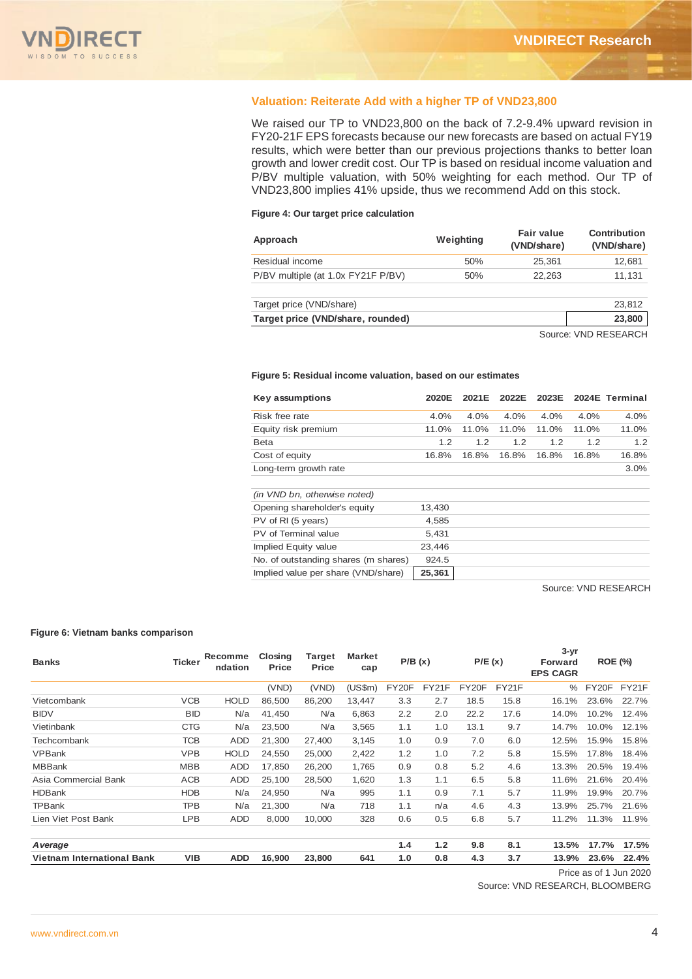

## **Valuation: Reiterate Add with a higher TP of VND23,800**

We raised our TP to VND23,800 on the back of 7.2-9.4% upward revision in FY20-21F EPS forecasts because our new forecasts are based on actual FY19 results, which were better than our previous projections thanks to better loan growth and lower credit cost. Our TP is based on residual income valuation and P/BV multiple valuation, with 50% weighting for each method. Our TP of VND23,800 implies 41% upside, thus we recommend Add on this stock.

#### **Figure 4: Our target price calculation**

| Approach                           | Weighting | Fair value<br>(VND/share) | Contribution<br>(VND/share) |
|------------------------------------|-----------|---------------------------|-----------------------------|
| Residual income                    | 50%       | 25.361                    | 12,681                      |
| P/BV multiple (at 1.0x FY21F P/BV) | 50%       | 22.263                    | 11.131                      |
| Target price (VND/share)           |           |                           | 23,812                      |
| Target price (VND/share, rounded)  |           |                           | 23,800                      |
|                                    |           |                           | Course: VAID DECEADOU       |

Source: VND RESEARCH

#### **Figure 5: Residual income valuation, based on our estimates**

| Key assumptions              | 2020E  | 2021E | 2022E | 2023E |       | 2024E Terminal |
|------------------------------|--------|-------|-------|-------|-------|----------------|
| Risk free rate               | 4.0%   | 4.0%  | 4.0%  | 4.0%  | 4.0%  | 4.0%           |
| Equity risk premium          | 11.0%  | 11.0% | 11.0% | 11.0% | 11.0% | 11.0%          |
| <b>Beta</b>                  | 1.2    | 1.2   | 1.2   | 1.2   | 1.2   | 1.2            |
| Cost of equity               | 16.8%  | 16.8% | 16.8% | 16.8% | 16.8% | 16.8%          |
| Long-term growth rate        |        |       |       |       |       | 3.0%           |
| (in VND bn, otherwise noted) |        |       |       |       |       |                |
| Opening shareholder's equity | 13,430 |       |       |       |       |                |
| PV of RI (5 years)           | 4,585  |       |       |       |       |                |
| PV of Terminal value         | 5,431  |       |       |       |       |                |

Source: VND RESEARCH

#### **Figure 6: Vietnam banks comparison**

| <b>Banks</b>                      | <b>Ticker</b> | Recomme<br>ndation | Closing<br><b>Price</b> | Target<br>Price | <b>Market</b><br>cap | P/B(x) |       |       |       | P/E(x)        |       | $3 - yr$<br>Forward<br><b>EPS CAGR</b> | <b>ROE (%)</b> |  |
|-----------------------------------|---------------|--------------------|-------------------------|-----------------|----------------------|--------|-------|-------|-------|---------------|-------|----------------------------------------|----------------|--|
|                                   |               |                    | (VND)                   | (VND)           | (US\$m)              | FY20F  | FY21F | FY20F | FY21F | $\frac{0}{0}$ | FY20F | FY21F                                  |                |  |
| Vietcombank                       | <b>VCB</b>    | <b>HOLD</b>        | 86,500                  | 86,200          | 13,447               | 3.3    | 2.7   | 18.5  | 15.8  | 16.1%         | 23.6% | 22.7%                                  |                |  |
| <b>BIDV</b>                       | <b>BID</b>    | N/a                | 41,450                  | N/a             | 6,863                | 2.2    | 2.0   | 22.2  | 17.6  | 14.0%         | 10.2% | 12.4%                                  |                |  |
| Vietinbank                        | <b>CTG</b>    | N/a                | 23,500                  | N/a             | 3,565                | 1.1    | 1.0   | 13.1  | 9.7   | 14.7%         | 10.0% | 12.1%                                  |                |  |
| Techcombank                       | TCB           | ADD                | 21,300                  | 27,400          | 3,145                | 1.0    | 0.9   | 7.0   | 6.0   | 12.5%         | 15.9% | 15.8%                                  |                |  |
| <b>VPBank</b>                     | <b>VPB</b>    | <b>HOLD</b>        | 24,550                  | 25,000          | 2,422                | 1.2    | 1.0   | 7.2   | 5.8   | 15.5%         | 17.8% | 18.4%                                  |                |  |
| <b>MBBank</b>                     | <b>MBB</b>    | ADD                | 17.850                  | 26,200          | 1,765                | 0.9    | 0.8   | 5.2   | 4.6   | 13.3%         | 20.5% | 19.4%                                  |                |  |
| Asia Commercial Bank              | ACB           | ADD                | 25,100                  | 28,500          | 1,620                | 1.3    | 1.1   | 6.5   | 5.8   | 11.6%         | 21.6% | 20.4%                                  |                |  |
| <b>HDBank</b>                     | <b>HDB</b>    | N/a                | 24,950                  | N/a             | 995                  | 1.1    | 0.9   | 7.1   | 5.7   | 11.9%         | 19.9% | 20.7%                                  |                |  |
| TPBank                            | TPB           | N/a                | 21,300                  | N/a             | 718                  | 1.1    | n/a   | 4.6   | 4.3   | 13.9%         | 25.7% | 21.6%                                  |                |  |
| Lien Viet Post Bank               | <b>LPB</b>    | ADD                | 8,000                   | 10,000          | 328                  | 0.6    | 0.5   | 6.8   | 5.7   | 11.2%         | 11.3% | 11.9%                                  |                |  |
| A verage                          |               |                    |                         |                 |                      | 1.4    | 1.2   | 9.8   | 8.1   | 13.5%         | 17.7% | 17.5%                                  |                |  |
| <b>Vietnam International Bank</b> | VIB           | <b>ADD</b>         | 16,900                  | 23,800          | 641                  | 1.0    | 0.8   | 4.3   | 3.7   | 13.9%         | 23.6% | 22.4%                                  |                |  |

Implied Equity value 23,446 No. of outstanding shares (m shares) 924.5 Implied value per share (VND/share) **25,361**

Source: VND RESEARCH, BLOOMBERG

Price as of 1 Jun 2020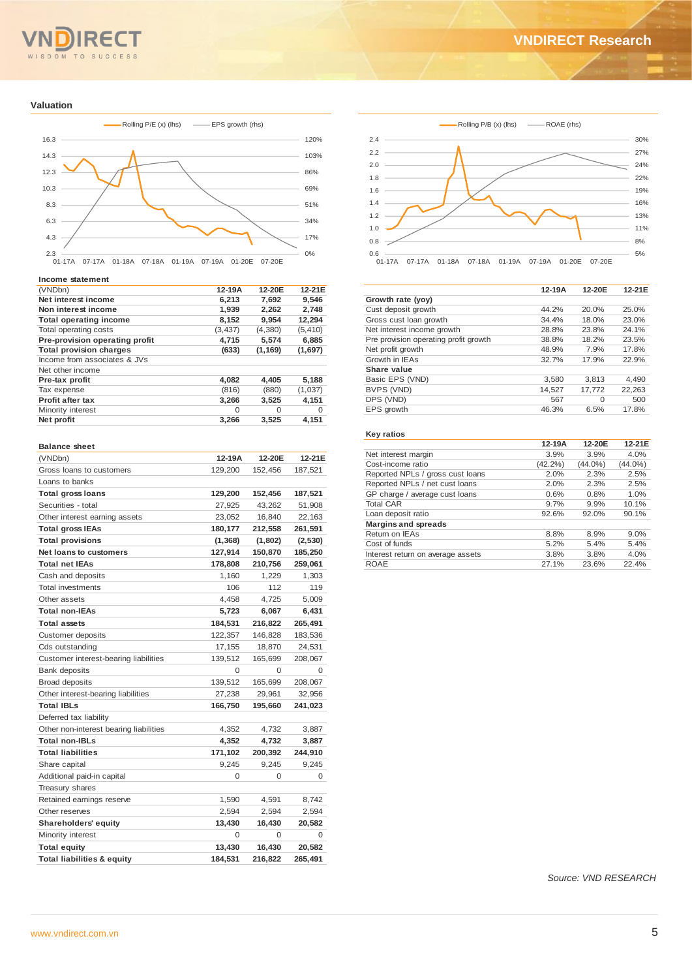## **RE** WISDOM TO SUCCESS

#### **Valuation**



#### **Income statement**

| Net interest income<br>6.213<br>7.692<br>9.546<br>1,939<br>2,262<br>2,748<br>Non interest income<br>8,152<br>9,954<br>12,294<br><b>Total operating income</b><br>Total operating costs<br>(3, 437)<br>(4,380)<br>(5, 410)<br>Pre-provision operating profit<br>5,574<br>4,715<br>6,885 | 12-21E   |
|----------------------------------------------------------------------------------------------------------------------------------------------------------------------------------------------------------------------------------------------------------------------------------------|----------|
|                                                                                                                                                                                                                                                                                        |          |
|                                                                                                                                                                                                                                                                                        |          |
|                                                                                                                                                                                                                                                                                        |          |
|                                                                                                                                                                                                                                                                                        |          |
|                                                                                                                                                                                                                                                                                        |          |
| <b>Total provision charges</b><br>(633)<br>(1, 169)<br>(1,697)                                                                                                                                                                                                                         |          |
| Income from associates & JVs                                                                                                                                                                                                                                                           |          |
| Net other income                                                                                                                                                                                                                                                                       |          |
| 4,082<br>4,405<br>5,188<br>Pre-tax profit                                                                                                                                                                                                                                              |          |
| (1,037)<br>Tax expense<br>(816)<br>(880)                                                                                                                                                                                                                                               |          |
| <b>Profit after tax</b><br>3,266<br>3,525<br>4,151                                                                                                                                                                                                                                     |          |
| Minority interest<br>$\Omega$<br>$\Omega$                                                                                                                                                                                                                                              | $\Omega$ |
| Net profit<br>4,151<br>3,266<br>3,525                                                                                                                                                                                                                                                  |          |

#### **Balance sheet**

| (VNDbn)                                | 12-19A   | 12-20E   | 12-21E   |
|----------------------------------------|----------|----------|----------|
| Gross loans to customers               | 129,200  | 152,456  | 187,521  |
| Loans to banks                         |          |          |          |
| <b>Total gross loans</b>               | 129,200  | 152,456  | 187,521  |
| Securities - total                     | 27,925   | 43,262   | 51,908   |
| Other interest earning assets          | 23,052   | 16,840   | 22,163   |
| <b>Total gross IEAs</b>                | 180,177  | 212,558  | 261,591  |
| <b>Total provisions</b>                | (1, 368) | (1,802)  | (2, 530) |
| Net loans to customers                 | 127,914  | 150,870  | 185,250  |
| <b>Total net IEAs</b>                  | 178,808  | 210,756  | 259,061  |
| Cash and deposits                      | 1,160    | 1,229    | 1,303    |
| <b>Total investments</b>               | 106      | 112      | 119      |
| Other assets                           | 4,458    | 4,725    | 5,009    |
| <b>Total non-IEAs</b>                  | 5,723    | 6,067    | 6,431    |
| <b>Total assets</b>                    | 184,531  | 216,822  | 265,491  |
| Customer deposits                      | 122,357  | 146,828  | 183,536  |
| Cds outstanding                        | 17,155   | 18,870   | 24,531   |
| Customer interest-bearing liabilities  | 139,512  | 165,699  | 208,067  |
| Bank deposits                          | $\Omega$ | $\Omega$ | 0        |
| <b>Broad deposits</b>                  | 139,512  | 165,699  | 208,067  |
| Other interest-bearing liabilities     | 27,238   | 29,961   | 32,956   |
| <b>Total IBLs</b>                      | 166,750  | 195,660  | 241,023  |
| Deferred tax liability                 |          |          |          |
| Other non-interest bearing liabilities | 4,352    | 4,732    | 3,887    |
| <b>Total non-IBLs</b>                  | 4,352    | 4,732    | 3,887    |
| <b>Total liabilities</b>               | 171,102  | 200,392  | 244,910  |
| Share capital                          | 9,245    | 9,245    | 9,245    |
| Additional paid-in capital             | 0        | 0        | 0        |
| Treasury shares                        |          |          |          |
| Retained earnings reserve              | 1,590    | 4,591    | 8,742    |
| Other reserves                         | 2,594    | 2,594    | 2,594    |
| <b>Shareholders' equity</b>            | 13,430   | 16,430   | 20,582   |
| Minority interest                      | $\Omega$ | $\Omega$ | 0        |
| <b>Total equity</b>                    | 13,430   | 16,430   | 20,582   |
| <b>Total liabilities &amp; equity</b>  | 184,531  | 216,822  | 265,491  |



|                                       | 12-19A | 12-20E   | 12-21E |
|---------------------------------------|--------|----------|--------|
| Growth rate (yoy)                     |        |          |        |
| Cust deposit growth                   | 44.2%  | 20.0%    | 25.0%  |
| Gross cust loan growth                | 34.4%  | 18.0%    | 23.0%  |
| Net interest income growth            | 28.8%  | 23.8%    | 24.1%  |
| Pre provision operating profit growth | 38.8%  | 18.2%    | 23.5%  |
| Net profit growth                     | 48.9%  | 7.9%     | 17.8%  |
| Growth in IEAs                        | 32.7%  | 17.9%    | 22.9%  |
| Share value                           |        |          |        |
| Basic EPS (VND)                       | 3,580  | 3.813    | 4,490  |
| BVPS (VND)                            | 14,527 | 17,772   | 22,263 |
| DPS (VND)                             | 567    | $\Omega$ | 500    |
| EPS growth                            | 46.3%  | 6.5%     | 17.8%  |
|                                       |        |          |        |

#### **Key ratios**

|                                   | 12-19A     | 12-20E     | 12-21E     |
|-----------------------------------|------------|------------|------------|
| Net interest margin               | 3.9%       | 3.9%       | 4.0%       |
| Cost-income ratio                 | $(42.2\%)$ | $(44.0\%)$ | $(44.0\%)$ |
| Reported NPLs / gross cust loans  | 2.0%       | 2.3%       | 2.5%       |
| Reported NPLs / net cust loans    | 2.0%       | 2.3%       | 2.5%       |
| GP charge / average cust loans    | 0.6%       | 0.8%       | 1.0%       |
| <b>Total CAR</b>                  | 9.7%       | 9.9%       | 10.1%      |
| Loan deposit ratio                | 92.6%      | 92.0%      | 90.1%      |
| <b>Margins and spreads</b>        |            |            |            |
| Return on IEAs                    | 8.8%       | 8.9%       | 9.0%       |
| Cost of funds                     | 5.2%       | 5.4%       | 5.4%       |
| Interest return on average assets | 3.8%       | 3.8%       | 4.0%       |
| <b>ROAE</b>                       | 27.1%      | 23.6%      | 22.4%      |
|                                   |            |            |            |

*Source: VND RESEARCH*